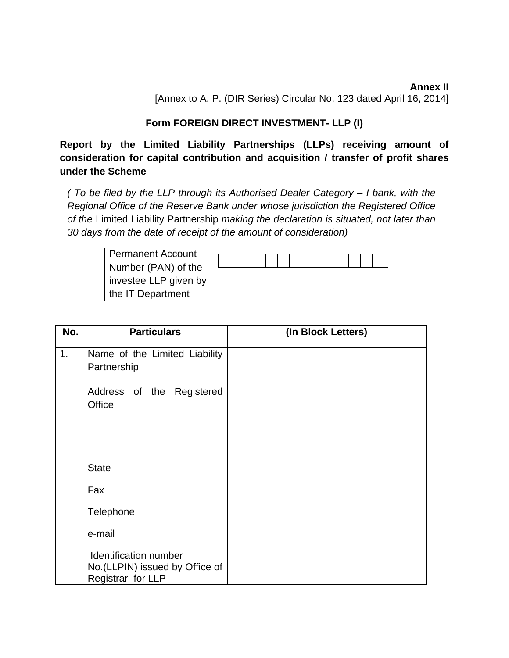**Annex II**  [Annex to A. P. (DIR Series) Circular No. 123 dated April 16, 2014]

# **Form FOREIGN DIRECT INVESTMENT- LLP (I)**

**Report by the Limited Liability Partnerships (LLPs) receiving amount of consideration for capital contribution and acquisition / transfer of profit shares under the Scheme** 

*( To be filed by the LLP through its Authorised Dealer Category – I bank, with the Regional Office of the Reserve Bank under whose jurisdiction the Registered Office of the* Limited Liability Partnership *making the declaration is situated, not later than 30 days from the date of receipt of the amount of consideration)* 

| <b>Permanent Account</b> |  |  |  |  |  |  |  |  |
|--------------------------|--|--|--|--|--|--|--|--|
| Number (PAN) of the      |  |  |  |  |  |  |  |  |
| investee LLP given by    |  |  |  |  |  |  |  |  |
| the IT Department        |  |  |  |  |  |  |  |  |

| No. | <b>Particulars</b>                                                                   | (In Block Letters) |
|-----|--------------------------------------------------------------------------------------|--------------------|
| 1.  | Name of the Limited Liability<br>Partnership                                         |                    |
|     | Address of the Registered<br>Office                                                  |                    |
|     | <b>State</b>                                                                         |                    |
|     | Fax                                                                                  |                    |
|     | Telephone                                                                            |                    |
|     | e-mail                                                                               |                    |
|     | <b>Identification number</b><br>No. (LLPIN) issued by Office of<br>Registrar for LLP |                    |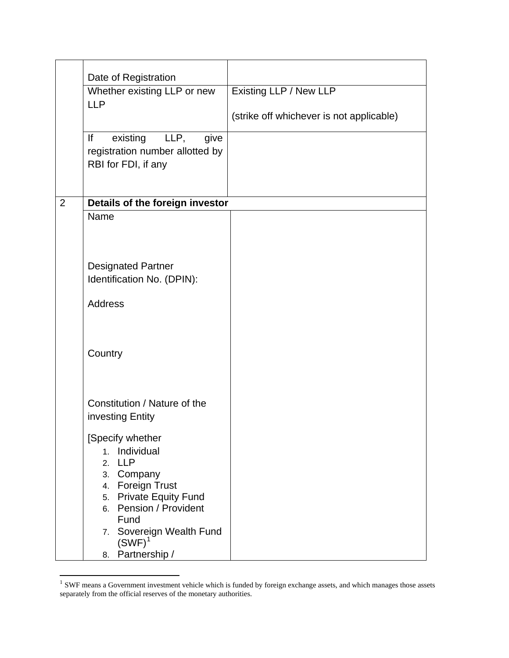|                | Date of Registration                                                 |                                          |
|----------------|----------------------------------------------------------------------|------------------------------------------|
|                | Whether existing LLP or new                                          | Existing LLP / New LLP                   |
|                | <b>LLP</b>                                                           |                                          |
|                |                                                                      | (strike off whichever is not applicable) |
|                | lf<br>LLP,<br>existing<br>give                                       |                                          |
|                | registration number allotted by<br>RBI for FDI, if any               |                                          |
|                |                                                                      |                                          |
| $\overline{2}$ | Details of the foreign investor                                      |                                          |
|                | Name                                                                 |                                          |
|                |                                                                      |                                          |
|                |                                                                      |                                          |
|                | <b>Designated Partner</b>                                            |                                          |
|                | Identification No. (DPIN):                                           |                                          |
|                | <b>Address</b>                                                       |                                          |
|                |                                                                      |                                          |
|                |                                                                      |                                          |
|                | Country                                                              |                                          |
|                |                                                                      |                                          |
|                |                                                                      |                                          |
|                | Constitution / Nature of the<br>investing Entity                     |                                          |
|                |                                                                      |                                          |
|                | [Specify whether                                                     |                                          |
|                | 1. Individual<br><b>LLP</b><br>2.                                    |                                          |
|                | Company<br>3.                                                        |                                          |
|                | <b>Foreign Trust</b><br>4.                                           |                                          |
|                | <b>Private Equity Fund</b><br>5.<br><b>Pension / Provident</b><br>6. |                                          |
|                | Fund                                                                 |                                          |
|                | Sovereign Wealth Fund<br>7.<br>$(SWF)^1$                             |                                          |
|                | Partnership /<br>8.                                                  |                                          |

<span id="page-1-0"></span> $1$  SWF means a Government investment vehicle which is funded by foreign exchange assets, and which manages those assets separately from the official reserves of the monetary authorities.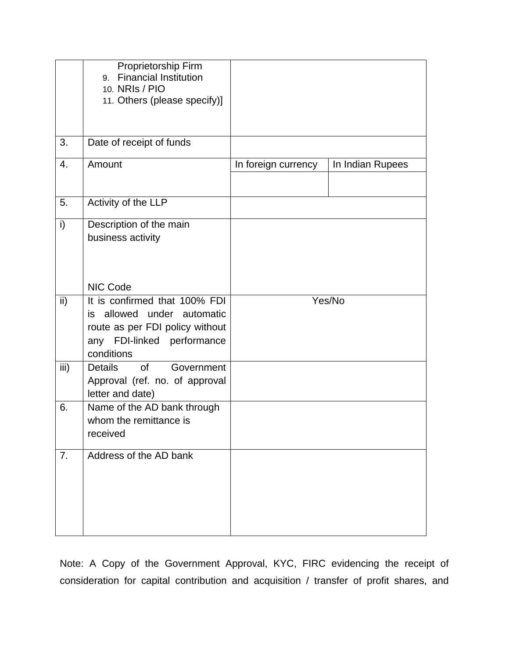|               | Proprietorship Firm<br><b>Financial Institution</b><br>9.<br>10. NRIS / PIO<br>11. Others (please specify)]                                |                     |                  |
|---------------|--------------------------------------------------------------------------------------------------------------------------------------------|---------------------|------------------|
| 3.            | Date of receipt of funds                                                                                                                   |                     |                  |
| 4.            | Amount                                                                                                                                     | In foreign currency | In Indian Rupees |
| 5.            | Activity of the LLP                                                                                                                        |                     |                  |
| i)            | Description of the main<br>business activity                                                                                               |                     |                  |
|               | NIC Code                                                                                                                                   |                     |                  |
| $\mathsf{ii}$ | It is confirmed that 100% FDI<br>is allowed under automatic<br>route as per FDI policy without<br>any FDI-linked performance<br>conditions |                     | Yes/No           |
| iii)          | <b>Details</b><br><b>of</b><br>Government<br>Approval (ref. no. of approval<br>letter and date)                                            |                     |                  |
| 6.            | Name of the AD bank through<br>whom the remittance is<br>received                                                                          |                     |                  |
| 7.            | Address of the AD bank                                                                                                                     |                     |                  |

Note: A Copy of the Government Approval, KYC, FIRC evidencing the receipt of consideration for capital contribution and acquisition / transfer of profit shares, and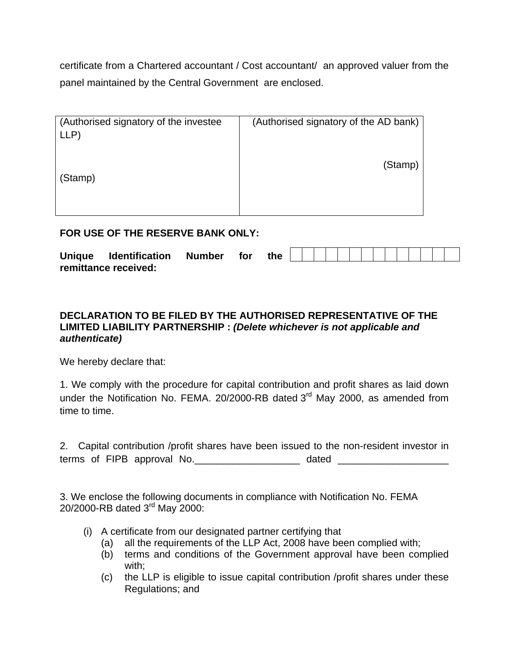certificate from a Chartered accountant / Cost accountant/ an approved valuer from the panel maintained by the Central Government are enclosed.

| (Authorised signatory of the investee)<br>LLP | (Authorised signatory of the AD bank) |
|-----------------------------------------------|---------------------------------------|
| (Stamp)                                       | (Stamp)                               |

### **FOR USE OF THE RESERVE BANK ONLY:**

| <b>Unique</b> | <b>Identification</b> | <b>Number</b> | for | the |  |  |  |  |  |  |  |
|---------------|-----------------------|---------------|-----|-----|--|--|--|--|--|--|--|
|               | remittance received:  |               |     |     |  |  |  |  |  |  |  |

## **DECLARATION TO BE FILED BY THE AUTHORISED REPRESENTATIVE OF THE LIMITED LIABILITY PARTNERSHIP :** *(Delete whichever is not applicable and authenticate)*

We hereby declare that:

1. We comply with the procedure for capital contribution and profit shares as laid down under the Notification No. FEMA. 20/2000-RB dated 3<sup>rd</sup> May 2000, as amended from time to time.

2. Capital contribution /profit shares have been issued to the non-resident investor in terms of FIPB approval No. \_\_\_\_\_\_\_\_\_\_\_\_\_\_\_\_\_\_\_\_\_ dated \_\_\_\_\_\_\_\_\_\_\_\_\_\_\_\_\_\_\_\_\_\_\_\_\_

3. We enclose the following documents in compliance with Notification No. FEMA 20/2000-RB dated 3rd May 2000:

- (i) A certificate from our designated partner certifying that
	- (a) all the requirements of the LLP Act, 2008 have been complied with;
	- (b) terms and conditions of the Government approval have been complied with;
	- (c) the LLP is eligible to issue capital contribution /profit shares under these Regulations; and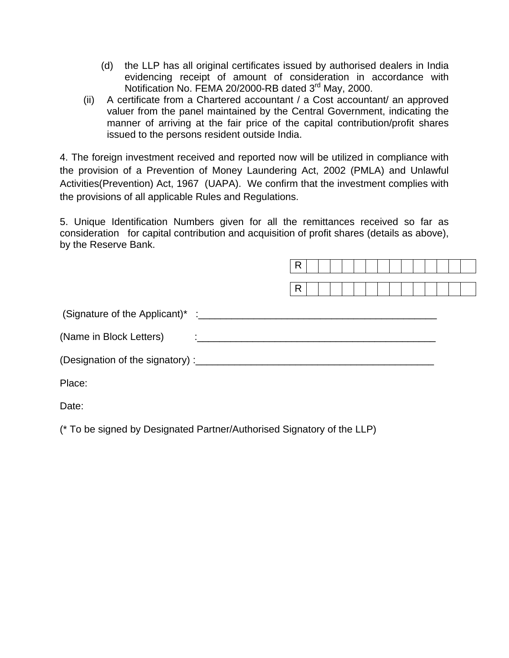- (d) the LLP has all original certificates issued by authorised dealers in India evidencing receipt of amount of consideration in accordance with Notification No. FEMA 20/2000-RB dated 3<sup>rd</sup> May, 2000.
- (ii) A certificate from a Chartered accountant / a Cost accountant/ an approved valuer from the panel maintained by the Central Government, indicating the manner of arriving at the fair price of the capital contribution/profit shares issued to the persons resident outside India.

4. The foreign investment received and reported now will be utilized in compliance with the provision of a Prevention of Money Laundering Act, 2002 (PMLA) and Unlawful Activities(Prevention) Act, 1967 (UAPA). We confirm that the investment complies with the provisions of all applicable Rules and Regulations.

5. Unique Identification Numbers given for all the remittances received so far as consideration for capital contribution and acquisition of profit shares (details as above), by the Reserve Bank.

|                                                                                                                                                                                                                                                                | R |  |  |  |  |  |  |  |
|----------------------------------------------------------------------------------------------------------------------------------------------------------------------------------------------------------------------------------------------------------------|---|--|--|--|--|--|--|--|
|                                                                                                                                                                                                                                                                | R |  |  |  |  |  |  |  |
|                                                                                                                                                                                                                                                                |   |  |  |  |  |  |  |  |
| (Name in Block Letters)<br>$\ddot{\cdot}$ , and the contract of the contract of the contract of the contract of the contract of the contract of the contract of the contract of the contract of the contract of the contract of the contract of the contract o |   |  |  |  |  |  |  |  |
|                                                                                                                                                                                                                                                                |   |  |  |  |  |  |  |  |
| Place:                                                                                                                                                                                                                                                         |   |  |  |  |  |  |  |  |
|                                                                                                                                                                                                                                                                |   |  |  |  |  |  |  |  |

Date:

(\* To be signed by Designated Partner/Authorised Signatory of the LLP)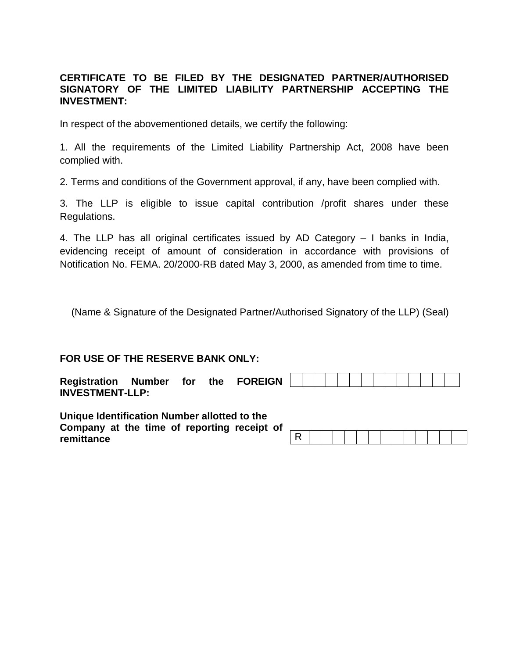## **CERTIFICATE TO BE FILED BY THE DESIGNATED PARTNER/AUTHORISED SIGNATORY OF THE LIMITED LIABILITY PARTNERSHIP ACCEPTING THE INVESTMENT:**

In respect of the abovementioned details, we certify the following:

1. All the requirements of the Limited Liability Partnership Act, 2008 have been complied with.

2. Terms and conditions of the Government approval, if any, have been complied with.

3. The LLP is eligible to issue capital contribution /profit shares under these Regulations.

4. The LLP has all original certificates issued by AD Category – I banks in India, evidencing receipt of amount of consideration in accordance with provisions of Notification No. FEMA. 20/2000-RB dated May 3, 2000, as amended from time to time.

(Name & Signature of the Designated Partner/Authorised Signatory of the LLP) (Seal)

## **FOR USE OF THE RESERVE BANK ONLY:**

| <b>Registration</b>    | Number | for | the | <b>FOREIGN</b> |  |  |  |  |  |  |  |  |
|------------------------|--------|-----|-----|----------------|--|--|--|--|--|--|--|--|
| <b>INVESTMENT-LLP:</b> |        |     |     |                |  |  |  |  |  |  |  |  |

**Unique Identification Number allotted to the Company at the time of reporting receipt of remittance**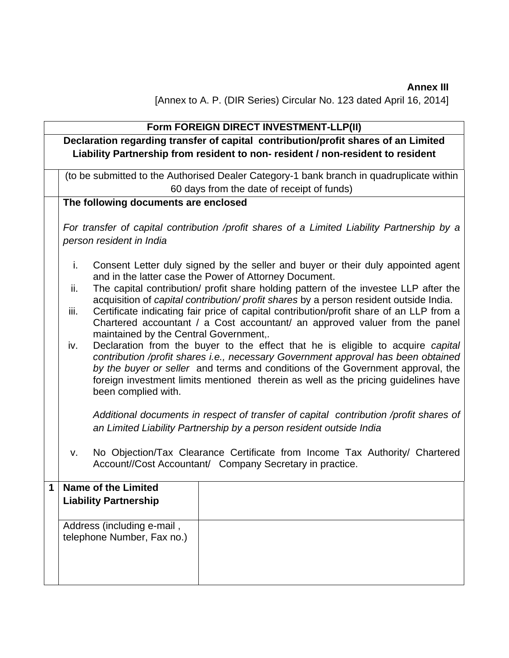**Annex III**  [Annex to A. P. (DIR Series) Circular No. 123 dated April 16, 2014]

|                            | Form FOREIGN DIRECT INVESTMENT-LLP(II)                                                                                                                                                |                                                                                                                                                                                                                                                                                                                                               |  |  |  |  |  |  |  |  |  |  |
|----------------------------|---------------------------------------------------------------------------------------------------------------------------------------------------------------------------------------|-----------------------------------------------------------------------------------------------------------------------------------------------------------------------------------------------------------------------------------------------------------------------------------------------------------------------------------------------|--|--|--|--|--|--|--|--|--|--|
|                            |                                                                                                                                                                                       | Declaration regarding transfer of capital contribution/profit shares of an Limited                                                                                                                                                                                                                                                            |  |  |  |  |  |  |  |  |  |  |
|                            |                                                                                                                                                                                       | Liability Partnership from resident to non- resident / non-resident to resident                                                                                                                                                                                                                                                               |  |  |  |  |  |  |  |  |  |  |
|                            |                                                                                                                                                                                       | (to be submitted to the Authorised Dealer Category-1 bank branch in quadruplicate within                                                                                                                                                                                                                                                      |  |  |  |  |  |  |  |  |  |  |
|                            |                                                                                                                                                                                       | 60 days from the date of receipt of funds)                                                                                                                                                                                                                                                                                                    |  |  |  |  |  |  |  |  |  |  |
|                            | The following documents are enclosed                                                                                                                                                  |                                                                                                                                                                                                                                                                                                                                               |  |  |  |  |  |  |  |  |  |  |
|                            | For transfer of capital contribution /profit shares of a Limited Liability Partnership by a                                                                                           |                                                                                                                                                                                                                                                                                                                                               |  |  |  |  |  |  |  |  |  |  |
|                            | person resident in India                                                                                                                                                              |                                                                                                                                                                                                                                                                                                                                               |  |  |  |  |  |  |  |  |  |  |
|                            | Consent Letter duly signed by the seller and buyer or their duly appointed agent<br>i.<br>and in the latter case the Power of Attorney Document.                                      |                                                                                                                                                                                                                                                                                                                                               |  |  |  |  |  |  |  |  |  |  |
|                            | The capital contribution/ profit share holding pattern of the investee LLP after the<br>ii.<br>acquisition of capital contribution/ profit shares by a person resident outside India. |                                                                                                                                                                                                                                                                                                                                               |  |  |  |  |  |  |  |  |  |  |
|                            | Certificate indicating fair price of capital contribution/profit share of an LLP from a<br>iii.<br>Chartered accountant / a Cost accountant/ an approved valuer from the panel        |                                                                                                                                                                                                                                                                                                                                               |  |  |  |  |  |  |  |  |  |  |
|                            | maintained by the Central Government,.                                                                                                                                                |                                                                                                                                                                                                                                                                                                                                               |  |  |  |  |  |  |  |  |  |  |
|                            | iv.<br>been complied with.                                                                                                                                                            | Declaration from the buyer to the effect that he is eligible to acquire capital<br>contribution /profit shares i.e., necessary Government approval has been obtained<br>by the buyer or seller and terms and conditions of the Government approval, the<br>foreign investment limits mentioned therein as well as the pricing guidelines have |  |  |  |  |  |  |  |  |  |  |
|                            |                                                                                                                                                                                       | Additional documents in respect of transfer of capital contribution /profit shares of<br>an Limited Liability Partnership by a person resident outside India                                                                                                                                                                                  |  |  |  |  |  |  |  |  |  |  |
|                            | v.                                                                                                                                                                                    | No Objection/Tax Clearance Certificate from Income Tax Authority/ Chartered<br>Account//Cost Accountant/ Company Secretary in practice.                                                                                                                                                                                                       |  |  |  |  |  |  |  |  |  |  |
| 1                          | <b>Name of the Limited</b>                                                                                                                                                            |                                                                                                                                                                                                                                                                                                                                               |  |  |  |  |  |  |  |  |  |  |
|                            | <b>Liability Partnership</b>                                                                                                                                                          |                                                                                                                                                                                                                                                                                                                                               |  |  |  |  |  |  |  |  |  |  |
| Address (including e-mail, |                                                                                                                                                                                       |                                                                                                                                                                                                                                                                                                                                               |  |  |  |  |  |  |  |  |  |  |
|                            | telephone Number, Fax no.)                                                                                                                                                            |                                                                                                                                                                                                                                                                                                                                               |  |  |  |  |  |  |  |  |  |  |
|                            |                                                                                                                                                                                       |                                                                                                                                                                                                                                                                                                                                               |  |  |  |  |  |  |  |  |  |  |
|                            |                                                                                                                                                                                       |                                                                                                                                                                                                                                                                                                                                               |  |  |  |  |  |  |  |  |  |  |
|                            |                                                                                                                                                                                       |                                                                                                                                                                                                                                                                                                                                               |  |  |  |  |  |  |  |  |  |  |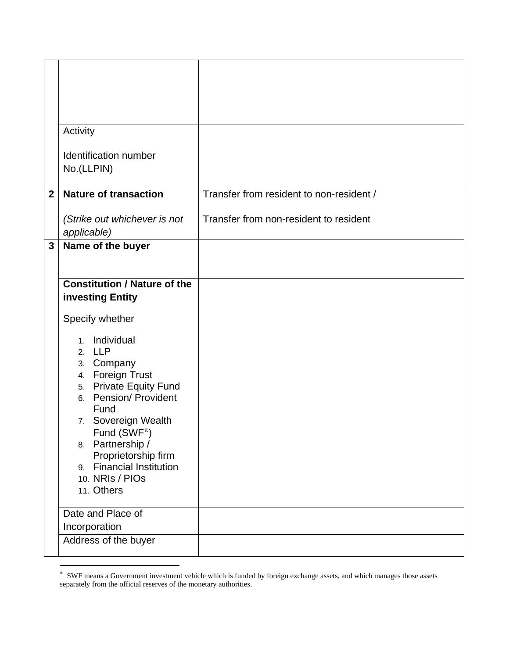|                | Activity                                                       |                                          |
|----------------|----------------------------------------------------------------|------------------------------------------|
|                | Identification number<br>No.(LLPIN)                            |                                          |
| $\overline{2}$ | <b>Nature of transaction</b>                                   | Transfer from resident to non-resident / |
|                | (Strike out whichever is not<br>applicable)                    | Transfer from non-resident to resident   |
| $\mathbf{3}$   | Name of the buyer                                              |                                          |
|                | <b>Constitution / Nature of the</b>                            |                                          |
|                | investing Entity                                               |                                          |
|                | Specify whether                                                |                                          |
|                | 1. Individual<br>2. LLP                                        |                                          |
|                | 3. Company                                                     |                                          |
|                | 4. Foreign Trust<br>5. Private Equity Fund                     |                                          |
|                | 6. Pension/ Provident<br>Fund                                  |                                          |
|                | 7. Sovereign Wealth<br>Fund (SWF <sup><math>\pi</math></sup> ) |                                          |
|                | 8. Partnership /                                               |                                          |
|                | Proprietorship firm<br>9. Financial Institution                |                                          |
|                | 10. NRIs / PIOs<br>11. Others                                  |                                          |
|                | Date and Place of                                              |                                          |
|                | Incorporation<br>Address of the buyer                          |                                          |
|                |                                                                |                                          |

<span id="page-7-0"></span> π SWF means a Government investment vehicle which is funded by foreign exchange assets, and which manages those assets separately from the official reserves of the monetary authorities.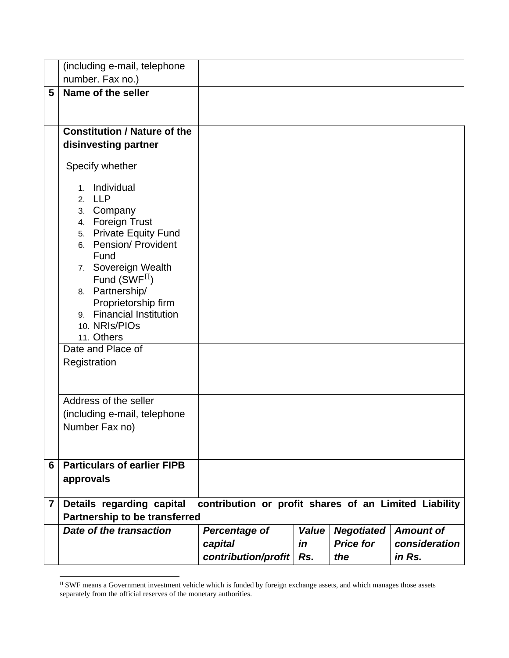|                | (including e-mail, telephone                    |                                                       |       |                   |               |
|----------------|-------------------------------------------------|-------------------------------------------------------|-------|-------------------|---------------|
|                | number. Fax no.)                                |                                                       |       |                   |               |
| 5              | Name of the seller                              |                                                       |       |                   |               |
|                |                                                 |                                                       |       |                   |               |
|                | <b>Constitution / Nature of the</b>             |                                                       |       |                   |               |
|                | disinvesting partner                            |                                                       |       |                   |               |
|                |                                                 |                                                       |       |                   |               |
|                | Specify whether                                 |                                                       |       |                   |               |
|                | Individual<br>$1_{-}$                           |                                                       |       |                   |               |
|                | 2. LLP                                          |                                                       |       |                   |               |
|                | 3. Company                                      |                                                       |       |                   |               |
|                | 4. Foreign Trust                                |                                                       |       |                   |               |
|                | 5. Private Equity Fund<br>6. Pension/ Provident |                                                       |       |                   |               |
|                | Fund                                            |                                                       |       |                   |               |
|                | 7. Sovereign Wealth                             |                                                       |       |                   |               |
|                | Fund (SWF $\Pi$ )                               |                                                       |       |                   |               |
|                | 8. Partnership/                                 |                                                       |       |                   |               |
|                | Proprietorship firm                             |                                                       |       |                   |               |
|                | 9. Financial Institution                        |                                                       |       |                   |               |
|                | 10. NRIs/PIOs<br>11. Others                     |                                                       |       |                   |               |
|                | Date and Place of                               |                                                       |       |                   |               |
|                | Registration                                    |                                                       |       |                   |               |
|                |                                                 |                                                       |       |                   |               |
|                | Address of the seller                           |                                                       |       |                   |               |
|                |                                                 |                                                       |       |                   |               |
|                | (including e-mail, telephone                    |                                                       |       |                   |               |
|                | Number Fax no)                                  |                                                       |       |                   |               |
|                |                                                 |                                                       |       |                   |               |
| 6              | <b>Particulars of earlier FIPB</b>              |                                                       |       |                   |               |
|                | approvals                                       |                                                       |       |                   |               |
| $\overline{7}$ | Details regarding capital                       | contribution or profit shares of an Limited Liability |       |                   |               |
|                | <b>Partnership to be transferred</b>            |                                                       |       |                   |               |
|                | Date of the transaction                         | <b>Percentage of</b>                                  | Value | <b>Negotiated</b> | Amount of     |
|                |                                                 | capital                                               | in    | <b>Price for</b>  | consideration |
|                |                                                 | contribution/profit                                   | Rs.   | the               | in Rs.        |

<span id="page-8-0"></span> $\pi$  SWF means a Government investment vehicle which is funded by foreign exchange assets, and which manages those assets separately from the official reserves of the monetary authorities.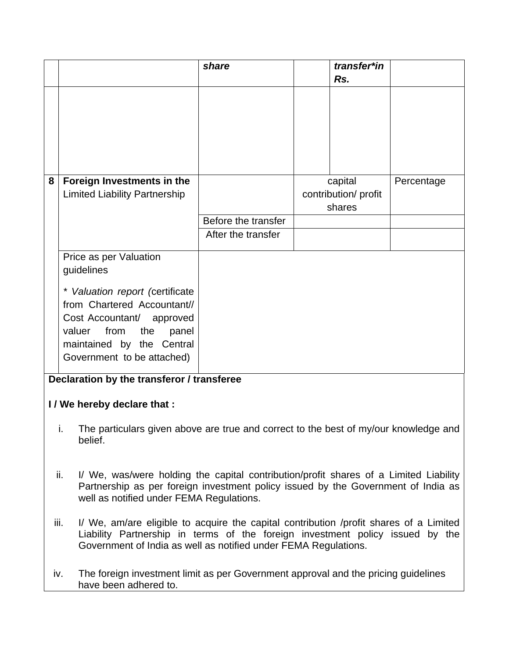|                                                                                                       |                                                                                                                                                                                                                                                    | share               | transfer*in                     |            |  |
|-------------------------------------------------------------------------------------------------------|----------------------------------------------------------------------------------------------------------------------------------------------------------------------------------------------------------------------------------------------------|---------------------|---------------------------------|------------|--|
|                                                                                                       |                                                                                                                                                                                                                                                    |                     | Rs.                             |            |  |
|                                                                                                       |                                                                                                                                                                                                                                                    |                     |                                 |            |  |
|                                                                                                       |                                                                                                                                                                                                                                                    |                     |                                 |            |  |
|                                                                                                       |                                                                                                                                                                                                                                                    |                     |                                 |            |  |
|                                                                                                       |                                                                                                                                                                                                                                                    |                     |                                 |            |  |
|                                                                                                       |                                                                                                                                                                                                                                                    |                     |                                 |            |  |
| 8                                                                                                     | Foreign Investments in the<br><b>Limited Liability Partnership</b>                                                                                                                                                                                 |                     | capital<br>contribution/ profit | Percentage |  |
|                                                                                                       |                                                                                                                                                                                                                                                    |                     | shares                          |            |  |
|                                                                                                       |                                                                                                                                                                                                                                                    | Before the transfer |                                 |            |  |
|                                                                                                       |                                                                                                                                                                                                                                                    | After the transfer  |                                 |            |  |
|                                                                                                       | Price as per Valuation                                                                                                                                                                                                                             |                     |                                 |            |  |
|                                                                                                       | guidelines                                                                                                                                                                                                                                         |                     |                                 |            |  |
|                                                                                                       | * Valuation report (certificate                                                                                                                                                                                                                    |                     |                                 |            |  |
|                                                                                                       | from Chartered Accountant//                                                                                                                                                                                                                        |                     |                                 |            |  |
|                                                                                                       | Cost Accountant/ approved                                                                                                                                                                                                                          |                     |                                 |            |  |
|                                                                                                       | valuer from<br>the<br>panel<br>maintained by the Central                                                                                                                                                                                           |                     |                                 |            |  |
|                                                                                                       | Government to be attached)                                                                                                                                                                                                                         |                     |                                 |            |  |
|                                                                                                       |                                                                                                                                                                                                                                                    |                     |                                 |            |  |
| Declaration by the transferor / transferee                                                            |                                                                                                                                                                                                                                                    |                     |                                 |            |  |
| I / We hereby declare that :                                                                          |                                                                                                                                                                                                                                                    |                     |                                 |            |  |
| The particulars given above are true and correct to the best of my/our knowledge and<br>ı.<br>belief. |                                                                                                                                                                                                                                                    |                     |                                 |            |  |
|                                                                                                       | I/ We, was/were holding the capital contribution/profit shares of a Limited Liability<br>ii.<br>Partnership as per foreign investment policy issued by the Government of India as<br>well as notified under FEMA Regulations.                      |                     |                                 |            |  |
|                                                                                                       | iii.<br>I/ We, am/are eligible to acquire the capital contribution /profit shares of a Limited<br>Liability Partnership in terms of the foreign investment policy issued by the<br>Government of India as well as notified under FEMA Regulations. |                     |                                 |            |  |

iv. The foreign investment limit as per Government approval and the pricing guidelines have been adhered to.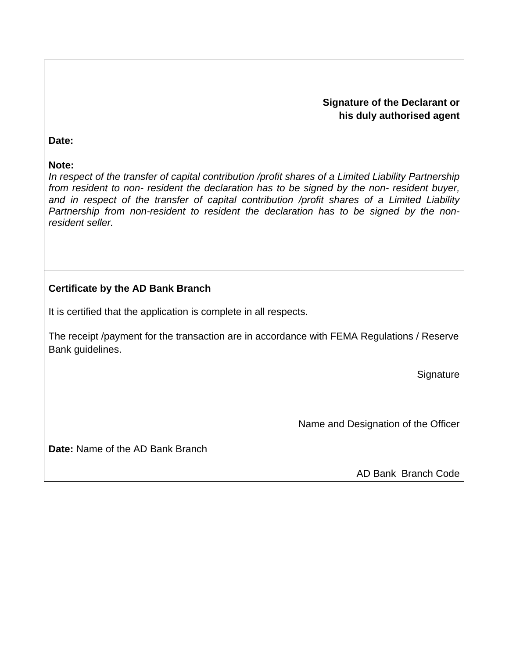## **Signature of the Declarant or his duly authorised agent**

#### **Date:**

### **Note:**

*In respect of the transfer of capital contribution /profit shares of a Limited Liability Partnership*  from resident to non- resident the declaration has to be signed by the non- resident buyer, *and in respect of the transfer of capital contribution /profit shares of a Limited Liability Partnership from non-resident to resident the declaration has to be signed by the nonresident seller.*

# **Certificate by the AD Bank Branch**

It is certified that the application is complete in all respects.

The receipt /payment for the transaction are in accordance with FEMA Regulations / Reserve Bank guidelines.

**Signature** 

Name and Designation of the Officer

**Date:** Name of the AD Bank Branch

AD Bank Branch Code